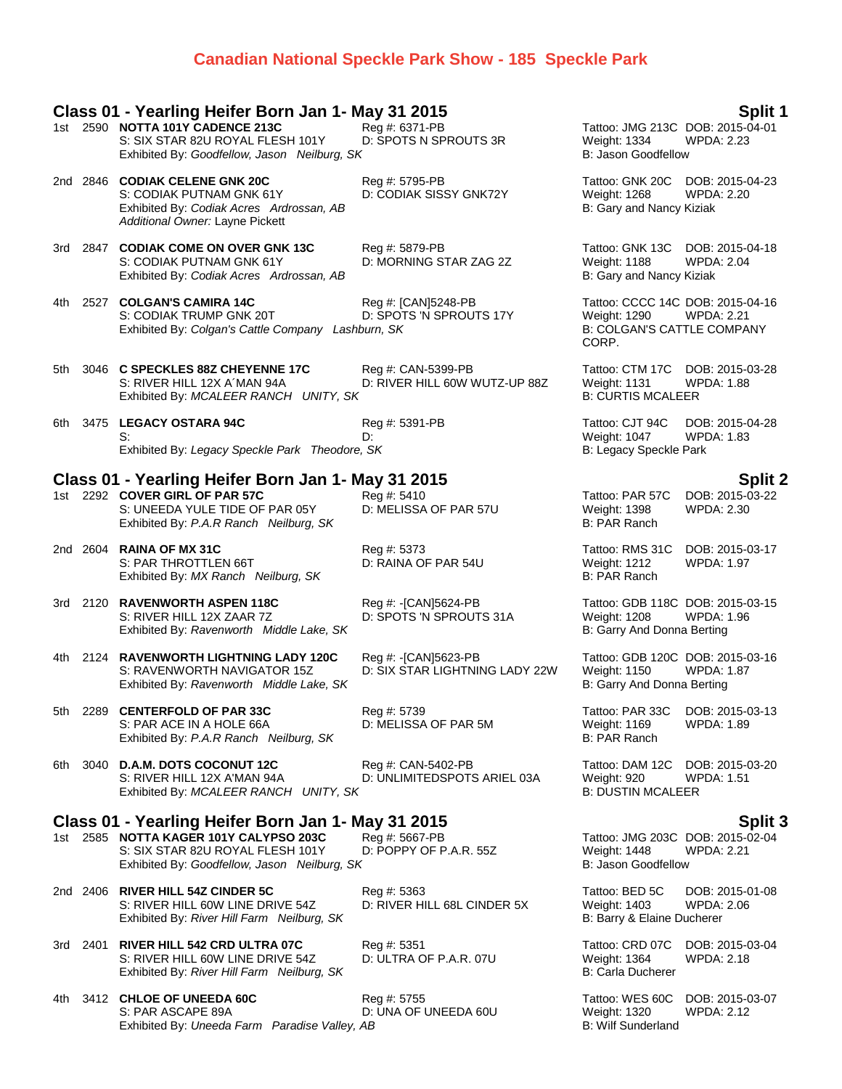## **Canadian National Speckle Park Show - 185 Speckle Park**

### **Class 01 - Yearling Heifer Born Jan 1- May 31 2015 Split 1**

|      |          | 1st 2590 NOTTA 101Y CADENCE 213C<br>S: SIX STAR 82U ROYAL FLESH 101Y<br>Exhibited By: Goodfellow, Jason Neilburg, SK                      | Reg #: 6371-PB<br>D: SPOTS N SPROUTS 3R                | Tattoo: JMG 213C DOB: 2015-04-01<br>Weight: 1334<br><b>B: Jason Goodfellow</b>                 | <b>WPDA: 2.23</b>                    |
|------|----------|-------------------------------------------------------------------------------------------------------------------------------------------|--------------------------------------------------------|------------------------------------------------------------------------------------------------|--------------------------------------|
|      |          | 2nd 2846 CODIAK CELENE GNK 20C<br>S: CODIAK PUTNAM GNK 61Y<br>Exhibited By: Codiak Acres Ardrossan, AB<br>Additional Owner: Layne Pickett | Reg #: 5795-PB<br>D: CODIAK SISSY GNK72Y               | Tattoo: GNK 20C<br><b>Weight: 1268</b><br>B: Gary and Nancy Kiziak                             | DOB: 2015-04-23<br><b>WPDA: 2.20</b> |
|      |          | 3rd 2847 CODIAK COME ON OVER GNK 13C<br>S: CODIAK PUTNAM GNK 61Y<br>Exhibited By: Codiak Acres Ardrossan, AB                              | Reg #: 5879-PB<br>D: MORNING STAR ZAG 2Z               | Tattoo: GNK 13C<br>Weight: 1188<br>B: Gary and Nancy Kiziak                                    | DOB: 2015-04-18<br><b>WPDA: 2.04</b> |
| 4th  |          | 2527 COLGAN'S CAMIRA 14C<br>S: CODIAK TRUMP GNK 20T<br>Exhibited By: Colgan's Cattle Company Lashburn, SK                                 | Reg #: [CAN]5248-PB<br>D: SPOTS 'N SPROUTS 17Y         | Tattoo: CCCC 14C DOB: 2015-04-16<br>Weight: 1290<br><b>B: COLGAN'S CATTLE COMPANY</b><br>CORP. | <b>WPDA: 2.21</b>                    |
| 5th  |          | 3046 C SPECKLES 88Z CHEYENNE 17C<br>S: RIVER HILL 12X A MAN 94A<br>Exhibited By: MCALEER RANCH UNITY, SK                                  | Reg #: CAN-5399-PB<br>D: RIVER HILL 60W WUTZ-UP 88Z    | Tattoo: CTM 17C DOB: 2015-03-28<br><b>Weight: 1131</b><br><b>B: CURTIS MCALEER</b>             | WPDA: 1.88                           |
|      |          | 6th 3475 LEGACY OSTARA 94C<br>S:<br>Exhibited By: Legacy Speckle Park Theodore, SK                                                        | Reg #: 5391-PB<br>D:                                   | Tattoo: CJT 94C<br>Weight: 1047<br>B: Legacy Speckle Park                                      | DOB: 2015-04-28<br><b>WPDA: 1.83</b> |
|      |          | Class 01 - Yearling Heifer Born Jan 1- May 31 2015                                                                                        |                                                        |                                                                                                | <b>Split 2</b>                       |
|      |          | 1st 2292 COVER GIRL OF PAR 57C<br>S: UNEEDA YULE TIDE OF PAR 05Y<br>Exhibited By: P.A.R Ranch Neilburg, SK                                | Reg #: 5410<br>D: MELISSA OF PAR 57U                   | Tattoo: PAR 57C<br>Weight: 1398<br>B: PAR Ranch                                                | DOB: 2015-03-22<br><b>WPDA: 2.30</b> |
|      |          | 2nd 2604 RAINA OF MX 31C<br>S: PAR THROTTLEN 66T<br>Exhibited By: MX Ranch Neilburg, SK                                                   | Reg #: 5373<br>D: RAINA OF PAR 54U                     | Tattoo: RMS 31C<br>Weight: 1212<br>B: PAR Ranch                                                | DOB: 2015-03-17<br>WPDA: 1.97        |
|      | 3rd 2120 | <b>RAVENWORTH ASPEN 118C</b><br>S: RIVER HILL 12X ZAAR 7Z<br>Exhibited By: Ravenworth Middle Lake, SK                                     | Reg #: -[CAN]5624-PB<br>D: SPOTS 'N SPROUTS 31A        | Tattoo: GDB 118C DOB: 2015-03-15<br>Weight: 1208<br>B: Garry And Donna Berting                 | <b>WPDA: 1.96</b>                    |
| 4th  |          | 2124 RAVENWORTH LIGHTNING LADY 120C<br>S: RAVENWORTH NAVIGATOR 15Z<br>Exhibited By: Ravenworth Middle Lake, SK                            | Reg #: -[CAN]5623-PB<br>D: SIX STAR LIGHTNING LADY 22W | Tattoo: GDB 120C DOB: 2015-03-16<br>Weight: 1150<br>B: Garry And Donna Berting                 | <b>WPDA: 1.87</b>                    |
| 5th  | 2289     | <b>CENTERFOLD OF PAR 33C</b><br>S: PAR ACE IN A HOLE 66A<br>Exhibited By: P.A.R Ranch Neilburg, SK                                        | Reg #: 5739<br>D: MELISSA OF PAR 5M                    | Tattoo: PAR 33C<br><b>Weight: 1169</b><br>B: PAR Ranch                                         | DOB: 2015-03-13<br><b>WPDA: 1.89</b> |
| 6th. |          | 3040 D.A.M. DOTS COCONUT 12C<br>S: RIVER HILL 12X A'MAN 94A<br>Exhibited By: MCALEER RANCH UNITY, SK                                      | Reg #: CAN-5402-PB<br>D: UNLIMITEDSPOTS ARIEL 03A      | Tattoo: DAM 12C DOB: 2015-03-20<br>Weight: 920<br><b>B: DUSTIN MCALEER</b>                     | <b>WPDA: 1.51</b>                    |
|      |          | Class 01 - Yearling Heifer Born Jan 1- May 31 2015                                                                                        |                                                        |                                                                                                | <b>Split 3</b>                       |
|      |          | 1st 2585 NOTTA KAGER 101Y CALYPSO 203C<br>S: SIX STAR 82U ROYAL FLESH 101Y<br>Exhibited By: Goodfellow, Jason Neilburg, SK                | Reg #: 5667-PB<br>D: POPPY OF P.A.R. 55Z               | Tattoo: JMG 203C DOB: 2015-02-04<br><b>Weight: 1448</b><br><b>B: Jason Goodfellow</b>          | <b>WPDA: 2.21</b>                    |
|      |          | 2nd 2406 RIVER HILL 54Z CINDER 5C<br>S: RIVER HILL 60W LINE DRIVE 54Z<br>Exhibited By: River Hill Farm Neilburg, SK                       | Reg #: 5363<br>D: RIVER HILL 68L CINDER 5X             | Tattoo: BED 5C<br>Weight: 1403<br>B: Barry & Elaine Ducherer                                   | DOB: 2015-01-08<br>WPDA: 2.06        |
|      |          | 3rd 2401 RIVER HILL 542 CRD ULTRA 07C<br>S: RIVER HILL 60W LINE DRIVE 54Z<br>Exhibited By: River Hill Farm Neilburg, SK                   | Reg #: 5351<br>D: ULTRA OF P.A.R. 07U                  | Tattoo: CRD 07C<br>Weight: 1364<br><b>B: Carla Ducherer</b>                                    | DOB: 2015-03-04<br><b>WPDA: 2.18</b> |
|      |          |                                                                                                                                           |                                                        |                                                                                                |                                      |

4th 3412 **CHLOE OF UNEEDA 60C** Reg #: 5755 Tattoo: WES 60C DOB: 2015-03-07 S: PAR ASCAPE 89A D: UNA OF UNEEDA 60U Weight: 1320 WPDA: 2.12 Exhibited By: *Uneeda Farm Paradise Valley, AB* B: Wilf Sunderland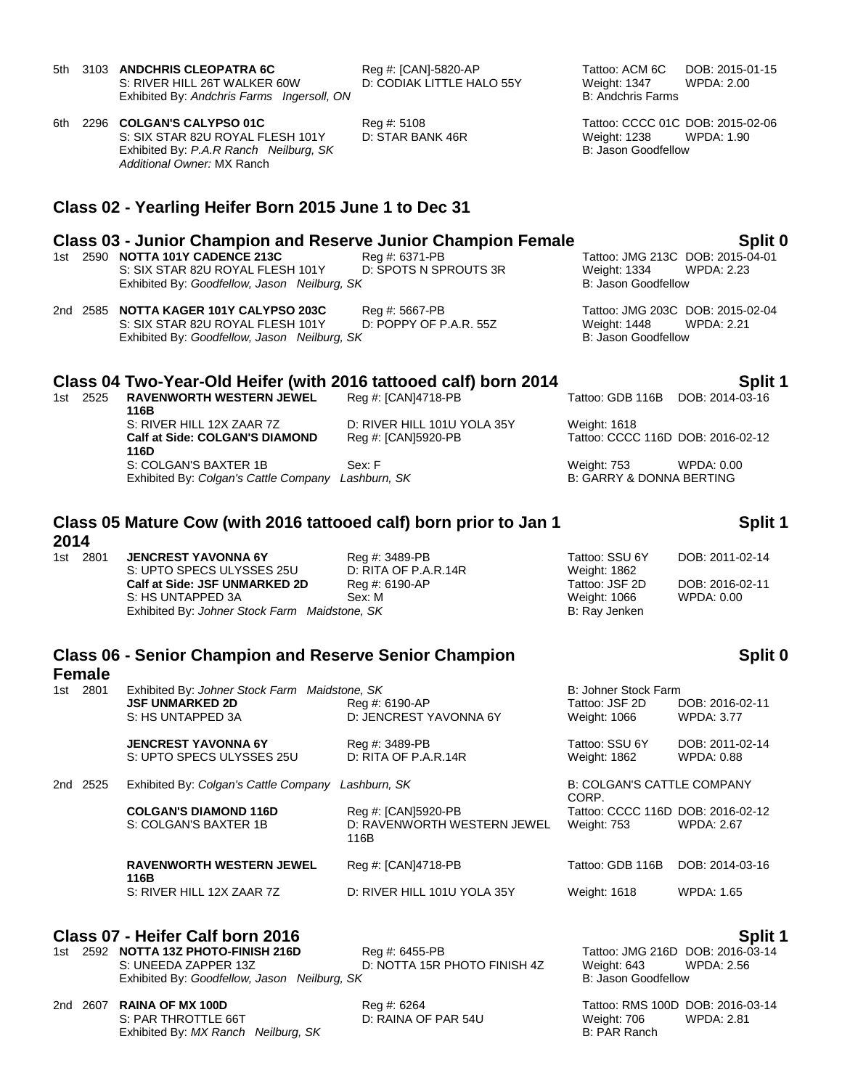**Class 02 - Yearling Heifer Born 2015 June 1 to Dec 31 Class 03 - Junior Champion and Reserve Junior Champion Female Split 0** 1st 2590 **NOTTA 101Y CADENCE 213C** Reg #: 6371-PB Tattoo: JMG 213C DOB: 2015-0<br>S: SIX STAR 82U ROYAL FLESH 101Y D: SPOTS N SPROUTS 3R Weight: 1334 WPDA: 2.23 S: SIX STAR 82U ROYAL FLESH 101Y D: SPOTS N SPROUTS 3R Weight: 1334 Weight: 1334 Weight: 1334 Weight: 2.2334 Weight: 2.2334 Weight: 2.2334 Weight: 2.23360 Weight: 2.23360 Weight: 2.23360 Weight: 2.23360 Weight: 2.23360 Wei Exhibited By: Goodfellow, Jason Neilburg, SK 2nd 2585 **NOTTA KAGER 101Y CALYPSO 203C** Reg #: 5667-PB Tattoo: JMG 203C DOB: 2015-02-04 S: SIX STAR 82U ROYAL FLESH 101Y Exhibited By: *Goodfellow, Jason Neilburg, SK* B: Jason Goodfellow B: Jason Goodfellow **Class 04 Two-Year-Old Heifer (with 2016 tattooed calf) born 2014 Split 1** 1st 2525 **RAVENWORTH WESTERN JEWEL 116B** Reg #: [CAN]4718-PB Tattoo: GDB 116B DOB: 2014-03-16 S: RIVER HILL 12X ZAAR 7Z D: RIVER HILL 101U YOLA 35Y Weight: 1618 **Calf at Side: COLGAN'S DIAMOND 116D** Reg #: [CAN]5920-PB Tattoo: CCCC 116D DOB: 2016-02-12 S: COLGAN'S BAXTER 1B Sex: F Weight: 753 WPDA: 0.00 Exhibited By: *Colgan's Cattle Company Lashburn, SK* B: GARRY & DONNA BERTING

## **Class 05 Mature Cow (with 2016 tattooed calf) born prior to Jan 1 2014**

1st 2801 **JENCREST YAVONNA 6Y** Reg #: 3489-PB Tattoo: SSU 6Y DOB: 2011-02-14 S: UPTO SPECS ULYSSES 25U D: RITA OF P.A.R.14R Weight: 1862 **Calf at Side: JSF UNMARKED 2D** Reg #: 6190-AP Tattoo: JSF 2D DOB: 2016-02-11 S: HS UNTAPPED 3A Sex: M Weight: 1066 WPDA: 0.00 Exhibited By: *Johner Stock Farm Maidstone, SK* B: Ray Jenken

# **Class 06 - Senior Champion and Reserve Senior Champion**

# **Female**

| 1st l       | 2801 | Exhibited By: Johner Stock Farm Maidstone, SK         |                                     | B: Johner Stock Farm                       |                   |
|-------------|------|-------------------------------------------------------|-------------------------------------|--------------------------------------------|-------------------|
|             |      | <b>JSF UNMARKED 2D</b>                                | Reg #: 6190-AP                      | Tattoo: JSF 2D                             | DOB: 2016-02-11   |
|             |      | S: HS UNTAPPED 3A                                     | D: JENCREST YAVONNA 6Y              | Weight: 1066                               | <b>WPDA: 3.77</b> |
|             |      | <b>JENCREST YAVONNA 6Y</b>                            | Reg #: 3489-PB                      | Tattoo: SSU 6Y                             | DOB: 2011-02-14   |
|             |      | S: UPTO SPECS ULYSSES 25U                             | D: RITA OF P.A.R.14R                | <b>Weight: 1862</b>                        | <b>WPDA: 0.88</b> |
| 2nd<br>2525 |      | Exhibited By: Colgan's Cattle Company<br>Lashburn, SK |                                     | <b>B: COLGAN'S CATTLE COMPANY</b><br>CORP. |                   |
|             |      | <b>COLGAN'S DIAMOND 116D</b>                          | Reg #: [CAN]5920-PB                 | Tattoo: CCCC 116D DOB: 2016-02-12          |                   |
|             |      | S: COLGAN'S BAXTER 1B                                 | D: RAVENWORTH WESTERN JEWEL<br>116B | <b>Weight: 753</b>                         | <b>WPDA: 2.67</b> |
|             |      | <b>RAVENWORTH WESTERN JEWEL</b><br>116B               | Reg #: [CAN]4718-PB                 | Tattoo: GDB 116B                           | DOB: 2014-03-16   |
|             |      | S: RIVER HILL 12X ZAAR 7Z                             | D: RIVER HILL 101U YOLA 35Y         | Weight: 1618                               | <b>WPDA: 1.65</b> |
|             |      |                                                       |                                     |                                            |                   |

# **Class 07 - Heifer Calf born 2016 Split 1**

1st 2592 **NOTTA 13Z PHOTO-FINISH 216D** S: UNEEDA ZAPPER 13Z **D: NOTTA 15R PHOTO FINISH 4Z** Weight: 643 WPDA: 2.56 Exhibited By: *Goodfellow, Jason Neilburg, SK* B: Jason Goodfellow

2nd 2607 **RAINA OF MX 100D** Reg #: 6264 Tattoo: RMS 100D DOB: 2016-03-14 S: PAR THROTTLE 66T **D: RAINA OF PAR 54U** Weight: 706 WPDA: 2.81<br>
Fxhibited By: *MX Ranch* Neilburg, SK Exhibited By: MX Ranch Neilburg, SK

# **Split 1**

# **Split 0**

## 5th 3103 **ANDCHRIS CLEOPATRA 6C** Reg #: [CAN]-5820-AP Tattoo: ACM 6C DOB: 2015-01-15 S: RIVER HILL 26T WALKER 60W D: CODIAK LITTLE HALO 55Y Weight: 1347 WPDA: 2.00<br>Exhibited Bv: Andchris Farms Ingersoll. ON B: Andchris Farms Exhibited By: Andchris Farms Ingersoll, ON

6th 2296 **COLGAN'S CALYPSO 01C** Reg #: 5108 Tattoo: CCCC 01C DOB: 2015-02-06 S: SIX STAR 82U ROYAL FLESH 101Y D: STAR BANK 46R Weight: 1238 WPDA: 1.90 Exhibited By: *P.A.R Ranch Neilburg, SK* B: Jason Goodfellow *Additional Owner:* MX Ranch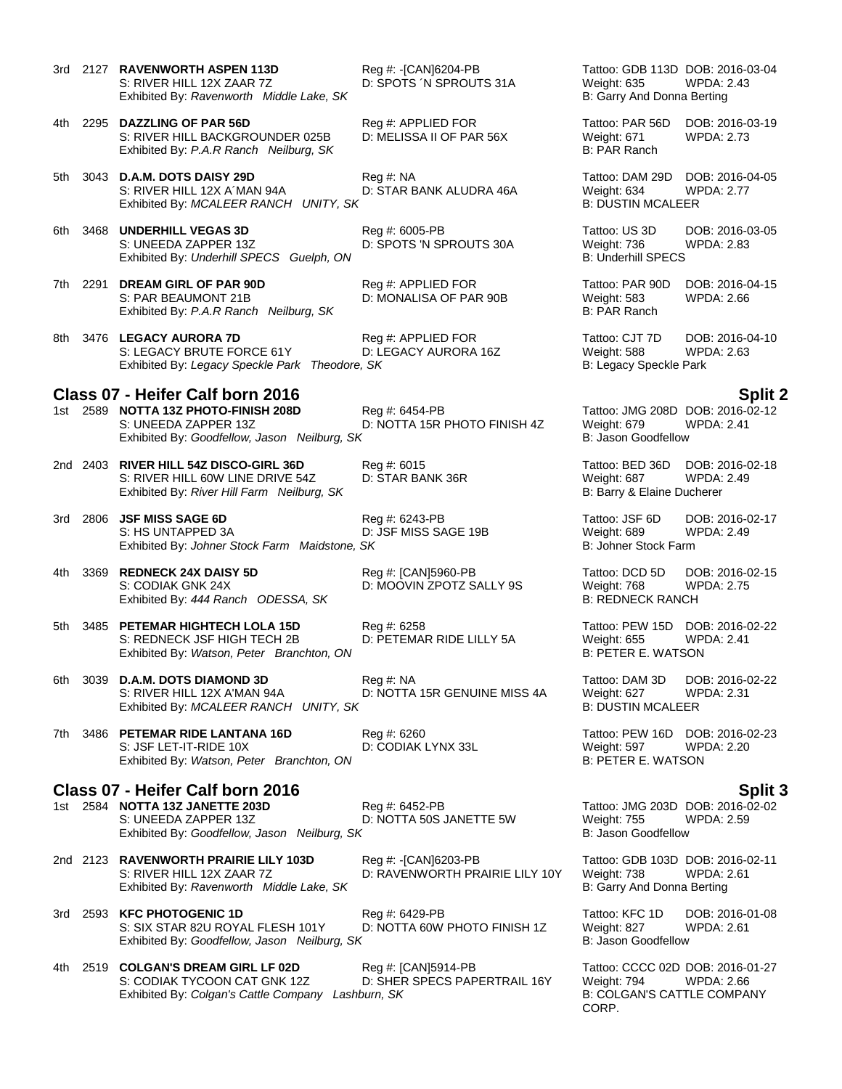- 3rd 2127 **RAVENWORTH ASPEN 113D** Reg #: -[CAN]6204-PB Tattoo: GDB 113D DOB: 2016-03-04 S: RIVER HILL 12X ZAAR 7Z D: SPOTS ´N SPROUTS 31A Weight: 635 WPDA: 2.43 Exhibited By: *Ravenworth Middle Lake, SK* B: Garry And Donna Berting
- 4th 2295 **DAZZLING OF PAR 56D** Reg #: APPLIED FOR Tattoo: PAR 56D DOB: 2016-03-19 S: RIVER HILL BACKGROUNDER 025B D: MELISSA II OF PAR 56X Weight: 671 WPDA: 2.73<br>Exhibited By: *P.A.R Ranch Neilburg, SK* D: MELISSA II OF PAR 56X B: PAR Ranch Exhibited By: P.A.R Ranch Neilburg, SK
- 5th 3043 **D.A.M. DOTS DAISY 29D** Reg #: NA Tattoo: DAM 29D DOB: 2016-04-05 S: RIVER HILL 12X A´MAN 94A D: STAR BANK ALUDRA 46A Weight: 634 WPDA: 2.77 Exhibited By: *MCALEER RANCH UNITY, SK* B: DUSTIN MCALEER
- 6th 3468 **UNDERHILL VEGAS 3D** Reg #: 6005-PB Tattoo: US 3D DOB: 2016-03-05 Exhibited By: *Underhill SPECS* Guelph, ON B: Underhill SPECS
- 7th 2291 **DREAM GIRL OF PAR 90D** Reg #: APPLIED FOR Tattoo: PAR 90D DOB: 2016-04-15 S: PAR BEAUMONT 21B D: MONALISA OF PAR 90B Weight: 583 WPDA: 2.66 Exhibited By: *P.A.R Ranch Neilburg, SK* B: PAR Ranch
- 8th 3476 LEGACY AURORA 7D Reg #: APPLIED FOR Tattoo: CJT 7D DOB: 2016-04-10 S: LEGACY BRUTE FORCE 61Y D: LEGACY AURORA 16Z Weight: 588 WPDA: 2.63 Exhibited By: Legacy Speckle Park Theodore, SK B: Legacy Speckle Park **B: Legacy Speckle Park**

# **Class 07 - Heifer Calf born 2016 Split 2**

- 1st 2589 **NOTTA 13Z PHOTO-FINISH 208D** Reg #: 6454-PB Tattoo: JMG 208D DOB: 2016-0<br>D: NOTTA 15R PHOTO FINISH 4Z Weight: 679 WPDA: 2.41 S: UNEEDA ZAPPER 13Z D: NOTTA 15R PHOTO FINISH 4Z Weight: 679 Exhibited By: *Goodfellow, Jason Neilburg, SK* B: Jason Goodfellow
- 2nd 2403 **RIVER HILL 54Z DISCO-GIRL 36D** Reg #: 6015 Tattoo: BED 36D DOB: 2016-02-18 S: RIVER HILL 60W LINE DRIVE 54Z D: STAR BANK 36R Weight: 687 WPDA: 2.49 Exhibited By: *River Hill Farm Neilburg, SK* B: Barry & Elaine Ducherer
	-
- 3rd 2806 **JSF MISS SAGE 6D** Reg #: 6243-PB Reg #: 6243-PB Tattoo: JSF 6D DOB: 2016-02-17<br>S: HS UNTAPPED 3A D: JSF MISS SAGE 19B Weight: 689 WPDA: 2.49 S: HS UNTAPPED 3A D: JSF MISS SAGE 19B Weight: 689 W<br>Exhibited By: Johner Stock Farm Maidstone. SK B: 2.499 B: 2.499 B: 2.499 B: 2.499 B: 2.499 B: 2.499 B: 2.499 B Exhibited By: Johner Stock Farm Maidstone, SK

### 4th 3369 **REDNECK 24X DAISY 5D** Reg #: [CAN]5960-PB Tattoo: DCD 5D DOB: 2016-02-15 S: CODIAK GNK 24X D: MOOVIN ZPOTZ SALLY 9S Weight: 768 WIERhibited By: 444 Ranch ODESSA, SK B: NOOVIN ZPOTZ SALLY 9S Exhibited By: 444 Ranch ODESSA, SK

- 5th 3485 **PETEMAR HIGHTECH LOLA 15D** Reg #: 6258 Tattoo: PEW 15D DOB: 2016-02-22 S: REDNECK JSF HIGH TECH 2B D: PETEMAR RIDE LILLY 5A Weight: 655 WPDA: 2.41 Exhibited By: *Watson, Peter Branchton, ON* B: PETER E. WATSON
- 6th 3039 **D.A.M. DOTS DIAMOND 3D** Reg #: NA Tattoo: DAM 3D DOB: 2016-02-22 S: RIVER HILL 12X A'MAN 94A D: NOTTA 15R GENUINE MISS 4A Weight: 627 WPDA: 2.31 Exhibited By: *MCALEER RANCH UNITY, SK* B: DUSTIN MCALEER
- 7th 3486 **PETEMAR RIDE LANTANA 16D** Req #: 6260 **Research Property 16D DOB: 2016-02-23** S: JSF LET-IT-RIDE 10X D: CODIAK LYNX 33L Weight: 597 WPDA: 2.20 Exhibited By: *Watson, Peter Branchton, ON* B: PETER E. WATSON

# **Class 07 - Heifer Calf born 2016 Split 3**

- 1st 2584 **NOTTA 13Z JANETTE 203D** Reg #: 6452-PB Tattoo: JMG 203D DOB: 2016-02-02 S: UNEEDA ZAPPER 13Z D: NOTTA 50S JANETTE 5W Weight: 755 WPDA: 2.59 Exhibited By: *Goodfellow, Jason Neilburg, SK* B: Jason Goodfellow
- 2nd 2123 **RAVENWORTH PRAIRIE LILY 103D** Reg #: -[CAN]6203-PB Tattoo: GDB 103D DOB: 2016-02-11 S: RIVER HILL 12X ZAAR 7Z D: RAVENWORTH PRAIRIE LILY 10Y Weight: 738 WPDA: 2.61 Exhibited By: *Ravenworth Middle Lake, SK* B: Garry And Donna Berting
- 3rd 2593 **KFC PHOTOGENIC 1D** Reg #: 6429-PB Tattoo: KFC 1D DOB: 2016-01-08<br>S: SIX STAR 82U ROYAL FLESH 101Y D: NOTTA 60W PHOTO FINISH 1Z Weight: 827 WPDA: 2.61 S: SIX STAR 82U ROYAL FLESH 101Y D: NOTTA 60W PHOTO FINISH 1Z Weight: 827 Exhibited By: *Goodfellow, Jason Neilburg, SK* B: Jason Goodfellow B: Jason Goodfellow
- 4th 2519 **COLGAN'S DREAM GIRL LF 02D** Reg #: [CAN]5914-PB Tattoo: CCCC 02D DOB: 2016-01-27 S: CODIAK TYCOON CAT GNK 12Z D: SHER SPECS PAPERTRAIL 16Y Weight: 794 WPDA: 2.66 Exhibited By: *Colgan's Cattle Company Lashburn, SK* B: COLGAN'S CATTLE COMPANY

D: SPOTS 'N SPROUTS 30A Weight: 736 WPDA: 2.83

CORP.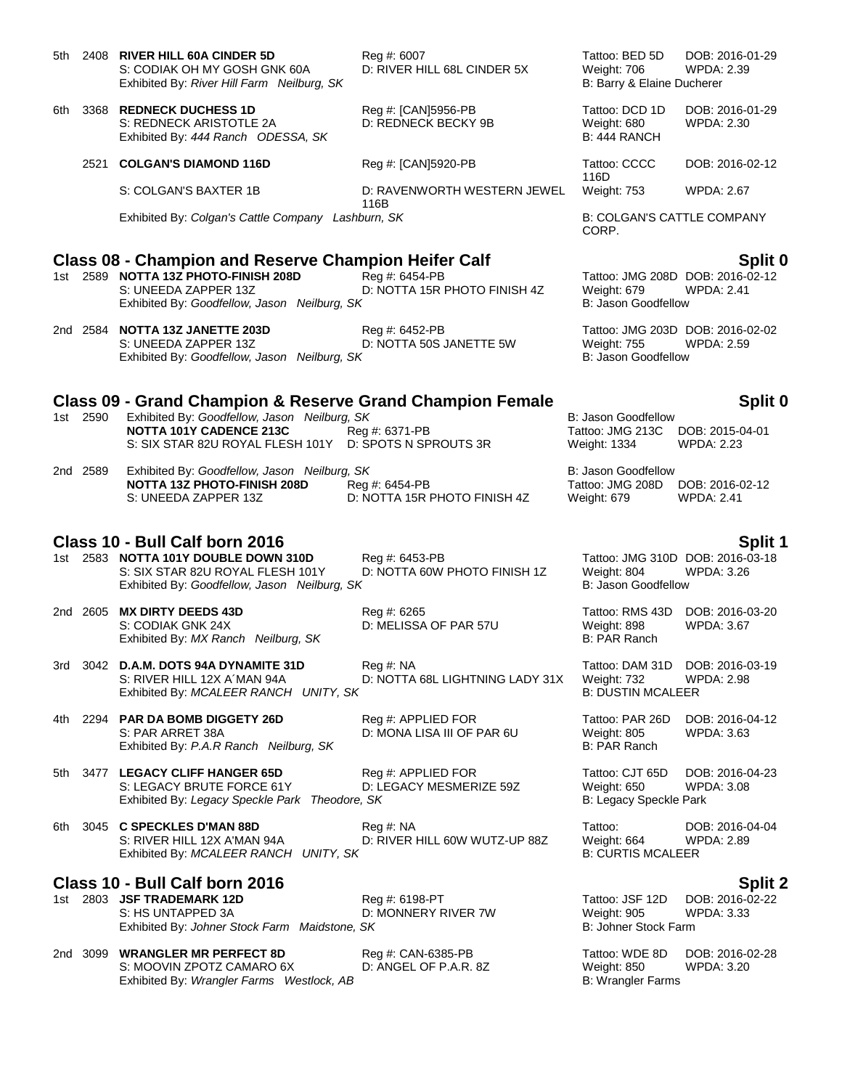| 5th  |                                                  | 2408 RIVER HILL 60A CINDER 5D<br>S: CODIAK OH MY GOSH GNK 60A<br>Exhibited By: River Hill Farm Neilburg, SK                                                                 | Reg #: 6007<br>D: RIVER HILL 68L CINDER 5X       | Tattoo: BED 5D<br>Weight: 706<br>B: Barry & Elaine Ducherer    | DOB: 2016-01-29<br>WPDA: 2.39                                    |  |  |
|------|--------------------------------------------------|-----------------------------------------------------------------------------------------------------------------------------------------------------------------------------|--------------------------------------------------|----------------------------------------------------------------|------------------------------------------------------------------|--|--|
| 6th  |                                                  | 3368 REDNECK DUCHESS 1D<br>S: REDNECK ARISTOTLE 2A<br>Exhibited By: 444 Ranch ODESSA, SK                                                                                    | Reg #: [CAN]5956-PB<br>D: REDNECK BECKY 9B       | Tattoo: DCD 1D<br>Weight: 680<br><b>B: 444 RANCH</b>           | DOB: 2016-01-29<br><b>WPDA: 2.30</b>                             |  |  |
|      | 2521                                             | <b>COLGAN'S DIAMOND 116D</b>                                                                                                                                                | Reg #: [CAN]5920-PB                              | Tattoo: CCCC<br>116D                                           | DOB: 2016-02-12                                                  |  |  |
|      |                                                  | S: COLGAN'S BAXTER 1B                                                                                                                                                       | D: RAVENWORTH WESTERN JEWEL                      | <b>Weight: 753</b>                                             | <b>WPDA: 2.67</b>                                                |  |  |
|      |                                                  | Exhibited By: Colgan's Cattle Company Lashburn, SK                                                                                                                          | 116B                                             | <b>B: COLGAN'S CATTLE COMPANY</b><br>CORP.                     |                                                                  |  |  |
|      |                                                  | <b>Class 08 - Champion and Reserve Champion Heifer Calf</b><br>1st 2589 NOTTA 13Z PHOTO-FINISH 208D<br>S: UNEEDA ZAPPER 13Z<br>Exhibited By: Goodfellow, Jason Neilburg, SK | Reg #: 6454-PB<br>D: NOTTA 15R PHOTO FINISH 4Z   | Weight: 679<br><b>B: Jason Goodfellow</b>                      | Split 0<br>Tattoo: JMG 208D DOB: 2016-02-12<br><b>WPDA: 2.41</b> |  |  |
|      |                                                  | 2nd 2584 NOTTA 13Z JANETTE 203D<br>S: UNEEDA ZAPPER 13Z<br>Exhibited By: Goodfellow, Jason Neilburg, SK                                                                     | Reg #: 6452-PB<br>D: NOTTA 50S JANETTE 5W        | <b>Weight: 755</b><br>B: Jason Goodfellow                      | Tattoo: JMG 203D DOB: 2016-02-02<br><b>WPDA: 2.59</b>            |  |  |
|      |                                                  | <b>Class 09 - Grand Champion &amp; Reserve Grand Champion Female</b>                                                                                                        |                                                  |                                                                | Split 0                                                          |  |  |
|      | 1st 2590                                         | Exhibited By: Goodfellow, Jason Neilburg, SK<br>NOTTA 101Y CADENCE 213C<br>S: SIX STAR 82U ROYAL FLESH 101Y D: SPOTS N SPROUTS 3R                                           | Reg #: 6371-PB                                   | <b>B: Jason Goodfellow</b><br>Tattoo: JMG 213C<br>Weight: 1334 | DOB: 2015-04-01<br><b>WPDA: 2.23</b>                             |  |  |
|      | 2nd 2589                                         | Exhibited By: Goodfellow, Jason Neilburg, SK<br><b>NOTTA 13Z PHOTO-FINISH 208D</b><br>S: UNEEDA ZAPPER 13Z                                                                  | Reg #: 6454-PB<br>D: NOTTA 15R PHOTO FINISH 4Z   | <b>B: Jason Goodfellow</b><br>Tattoo: JMG 208D<br>Weight: 679  | DOB: 2016-02-12<br><b>WPDA: 2.41</b>                             |  |  |
|      | Class 10 - Bull Calf born 2016<br><b>Split 1</b> |                                                                                                                                                                             |                                                  |                                                                |                                                                  |  |  |
|      |                                                  | 1st 2583 NOTTA 101Y DOUBLE DOWN 310D<br>S: SIX STAR 82U ROYAL FLESH 101Y<br>Exhibited By: Goodfellow, Jason Neilburg, SK                                                    | Reg #: 6453-PB<br>D: NOTTA 60W PHOTO FINISH 1Z   | Weight: 804<br><b>B: Jason Goodfellow</b>                      | Tattoo: JMG 310D DOB: 2016-03-18<br><b>WPDA: 3.26</b>            |  |  |
|      |                                                  | 2nd 2605 MX DIRTY DEEDS 43D<br>S: CODIAK GNK 24X<br>Exhibited By: MX Ranch Neilburg, SK                                                                                     | Reg #: 6265<br>D: MELISSA OF PAR 57U             | Tattoo: RMS 43D<br>Weight: 898<br>B: PAR Ranch                 | DOB: 2016-03-20<br>WPDA: 3.67                                    |  |  |
| 3rd  |                                                  | 3042 D.A.M. DOTS 94A DYNAMITE 31D<br>S: RIVER HILL 12X A MAN 94A<br>Exhibited By: MCALEER RANCH UNITY, SK                                                                   | Reg #: NA<br>D: NOTTA 68L LIGHTNING LADY 31X     | Tattoo: DAM 31D<br>Weight: 732<br><b>B: DUSTIN MCALEER</b>     | DOB: 2016-03-19<br><b>WPDA: 2.98</b>                             |  |  |
| 4th  |                                                  | 2294 PAR DA BOMB DIGGETY 26D<br>S: PAR ARRET 38A<br>Exhibited By: P.A.R Ranch Neilburg, SK                                                                                  | Reg #: APPLIED FOR<br>D: MONA LISA III OF PAR 6U | Tattoo: PAR 26D<br><b>Weight: 805</b><br>B: PAR Ranch          | DOB: 2016-04-12<br><b>WPDA: 3.63</b>                             |  |  |
|      |                                                  | 5th 3477 LEGACY CLIFF HANGER 65D<br>S: LEGACY BRUTE FORCE 61Y<br>Exhibited By: Legacy Speckle Park Theodore, SK                                                             | Reg #: APPLIED FOR<br>D: LEGACY MESMERIZE 59Z    | Tattoo: CJT 65D<br>Weight: 650<br>B: Legacy Speckle Park       | DOB: 2016-04-23<br>WPDA: 3.08                                    |  |  |
| 6th. |                                                  | 3045 C SPECKLES D'MAN 88D<br>S: RIVER HILL 12X A'MAN 94A<br>Exhibited By: MCALEER RANCH UNITY, SK                                                                           | Reg #: NA<br>D: RIVER HILL 60W WUTZ-UP 88Z       | Tattoo:<br>Weight: 664<br><b>B: CURTIS MCALEER</b>             | DOB: 2016-04-04<br>WPDA: 2.89                                    |  |  |
|      |                                                  | Class 10 - Bull Calf born 2016                                                                                                                                              |                                                  |                                                                | <b>Split 2</b>                                                   |  |  |
|      |                                                  | 1st 2803 JSF TRADEMARK 12D<br>S: HS UNTAPPED 3A<br>Exhibited By: Johner Stock Farm Maidstone, SK                                                                            | Reg #: 6198-PT<br>D: MONNERY RIVER 7W            | Tattoo: JSF 12D<br>Weight: 905<br>B: Johner Stock Farm         | DOB: 2016-02-22<br><b>WPDA: 3.33</b>                             |  |  |
|      |                                                  | 2nd 3000 <b>WRANGLER MR PERFECT 8D</b>                                                                                                                                      | $PoA + OAN-6385-DR$                              |                                                                | $Tatton$ MDE RD $DOR: 2016-02-28$                                |  |  |

2nd 3099 **WRANGLER MR PERFECT 8D** Reg #: CAN-6385-PB Tattoo: WDE 8D DOB: 2016-02-28<br>S: MOOVIN ZPOTZ CAMARO 6X D: ANGEL OF P.A.R. 8Z Weight: 850 WPDA: 3.20<br>Exhibited By: *Wrangler Farms Westlock, AB* B: Wrangler Farms S: MOOVIN ZPOTZ CAMARO 6X Exhibited By: Wrangler Farms Westlock, AB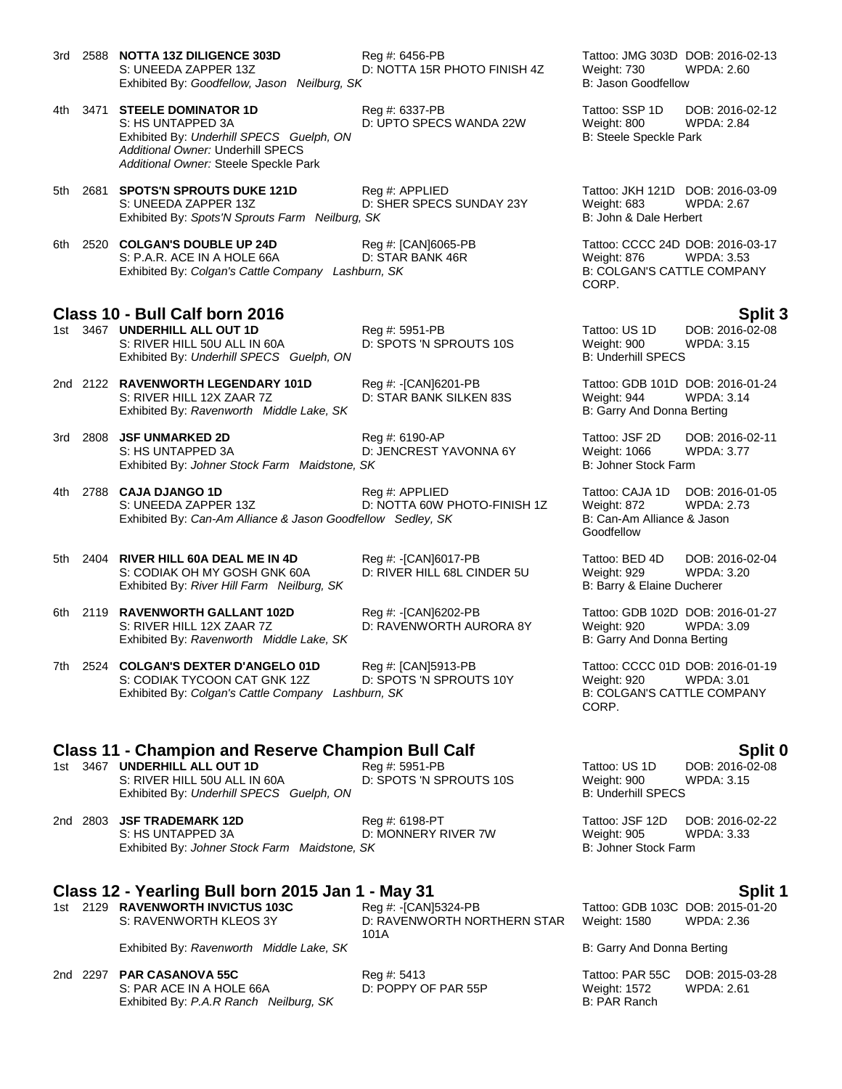- 3rd 2588 **NOTTA 13Z DILIGENCE 303D** Reg #: 6456-PB Tattoo: JMG 303D DOB: 2016-02-13 S: UNEEDA ZAPPER 13Z D: NOTTA 15R PHOTO FINISH 4Z Weight: 730 WPDA: 2.60 Exhibited By: *Goodfellow, Jason Neilburg, SK* B: Jason Goodfellow 4th 3471 **STEELE DOMINATOR 1D** Reg #: 6337-PB Tattoo: SSP 1D DOB: 2016-02-12 S: HS UNTAPPED 3A D: UPTO SPECS WANDA 22W Weight: 800 WPDA: 2.84 Exhibited By: *Underhill SPECS Guelph, ON* B: Steele Speckle Park *Additional Owner:* Underhill SPECS *Additional Owner:* Steele Speckle Park 5th 2681 **SPOTS'N SPROUTS DUKE 121D** Reg #: APPLIED Tattoo: JKH 121D DOB: 2016-03-09 S: UNEEDA ZAPPER 13Z D: SHER SPECS SUNDAY 23Y Weight: 683 WPDA: 2.67 Exhibited By: Spots'N Sprouts Farm Neilburg, SK **B: Accounts Farm Neilburg, SK** B: John & Dale Herbert 6th 2520 **COLGAN'S DOUBLE UP 24D** Reg #: [CAN]6065-PB Tattoo: CCCC 24D DOB: 2016-03-17 S: P.A.R. ACE IN A HOLE 66A D: STAR BANK 46R Weight: 876 WPDA: 3.53<br>
Exhibited By: Colgan's Cattle Company Lashburn, SK B: COLGAN'S CATTLE COMPANY Exhibited By: Colgan's Cattle Company Lashburn, SK CORP. **Class 10 - Bull Calf born 2016 Split 3** 1st 3467 **UNDERHILL ALL OUT 1D** Reg #: 5951-PB Tattoo: US 1D DOB: 2016-02-08 S: RIVER HILL 50U ALL IN 60A D: SPOTS 'N SPROUTS 10S Weight: 900 WPDA: 3.15<br>Exhibited By: Underhill SPECS Guelph. ON B: Underhill SPECS Exhibited By: Underhill SPECS Guelph, ON 2nd 2122 **RAVENWORTH LEGENDARY 101D** Reg #: -[CAN]6201-PB Tattoo: GDB 101D DOB: 2016-01-24 S: RIVER HILL 12X ZAAR 7Z D: STAR BANK SILKEN 83S Weight: 944 WPDA: 3.14 Exhibited By: *Ravenworth Middle Lake, SK* B: Garry And Donna Berting 3rd 2808 **JSF UNMARKED 2D** Reg #: 6190-AP Tattoo: JSF 2D DOB: 2016-02-11 S: HS UNTAPPED 3A D: JENCREST YAVONNA 6Y Weight: 1066 WPDA: 3.77 Exhibited By: *Johner Stock Farm Maidstone, SK* B: Johner Stock Farm Maidstone, SK 4th 2788 **CAJA DJANGO 1D** Reg #: APPLIED Tattoo: CAJA 1D DOB: 2016-01-05 D: NOTTA 60W PHOTO-FINISH 1Z Exhibited By: *Can-Am Alliance & Jason Goodfellow Sedley, SK* B: Can-Am Alliance & Jason Goodfellow 5th 2404 **RIVER HILL 60A DEAL ME IN 4D** Reg #: -[CAN]6017-PB Tattoo: BED 4D DOB: 2016-02-04<br>S: CODIAK OH MY GOSH GNK 60A D: RIVER HILL 68L CINDER 5U Weight: 929 WPDA: 3.20 S: CODIAK OH MY GOSH GNK 60A D: RIVER HILL 68L CINDER 5U Weight: 929 WPDA: 3.20 Exhibited By: *River Hill Farm Neilburg, SK* B: Barry & Elaine Ducherer 6th 2119 **RAVENWORTH GALLANT 102D** Reg #: -[CAN]6202-PB Tattoo: GDB 102D DOB: 2016-01-27 D: RAVENWORTH AURORA 8Y Weight: 920 WPDA: 3.09
	- Exhibited By: Ravenworth Middle Lake, SK B: B: Garry And Donna Berting
- 7th 2524 **COLGAN'S DEXTER D'ANGELO 01D** Reg #: [CAN]5913-PB Tattoo: CCCC 01D DOB: 2016-01-19<br>S: CODIAK TYCOON CAT GNK 12Z D: SPOTS 'N SPROUTS 10Y Weight: 920 WPDA: 3.01 S: CODIAK TYCOON CAT GNK 12Z Exhibited By: *Colgan's Cattle Company Lashburn, SK* B: COLGAN'S CATTLE COMPANY

### **Class 11 - Champion and Reserve Champion Bull Calf Split 0**

1st 3467 **UNDERHILL ALL OUT 1D** Reg #: 5951-PB Tattoo: US 1D DOB: 2016-02-08 S: RIVER HILL 50U ALL IN 60A D: SPOTS 'N SPROUTS 10S Weight: 900 WPDA: 3.15 Exhibited By: *Underhill SPECS* Guelph, ON B: Underhill SPECS

2nd 2803 **JSF TRADEMARK 12D** Reg #: 6198-PT Tattoo: JSF 12D DOB: 2016-02-22 S: HS UNTAPPED 3A D: MONNERY RIVER 7W Weight: 905 WPDA: 3.33 Exhibited By: *Johner Stock Farm Maidstone, SK* B: Johner Stock Farm Maidstone, SK

# **Class 12 - Yearling Bull born 2015 Jan 1 - May 31 Split 1**

1st 2129 **RAVENWORTH INVICTUS 103C** 

S: RAVENWORTH KLEOS 3Y D: RAVENWORTH NORTHERN STAR 101A

Exhibited By: Ravenworth Middle Lake, SK B: B: Garry And Donna Berting

2nd 2297 **PAR CASANOVA 55C** Reg #: 5413 Tattoo: PAR 55C DOB: 2015-03-28 S: PAR ACE IN A HOLE 66A D: POPPY OF PAR 55P Weight: 1572 WPDA: 2.61 Exhibited By: *P.A.R Ranch Neilburg, SK* B: PAR Ranch

Weight: 1580 WPDA: 2.36

CORP.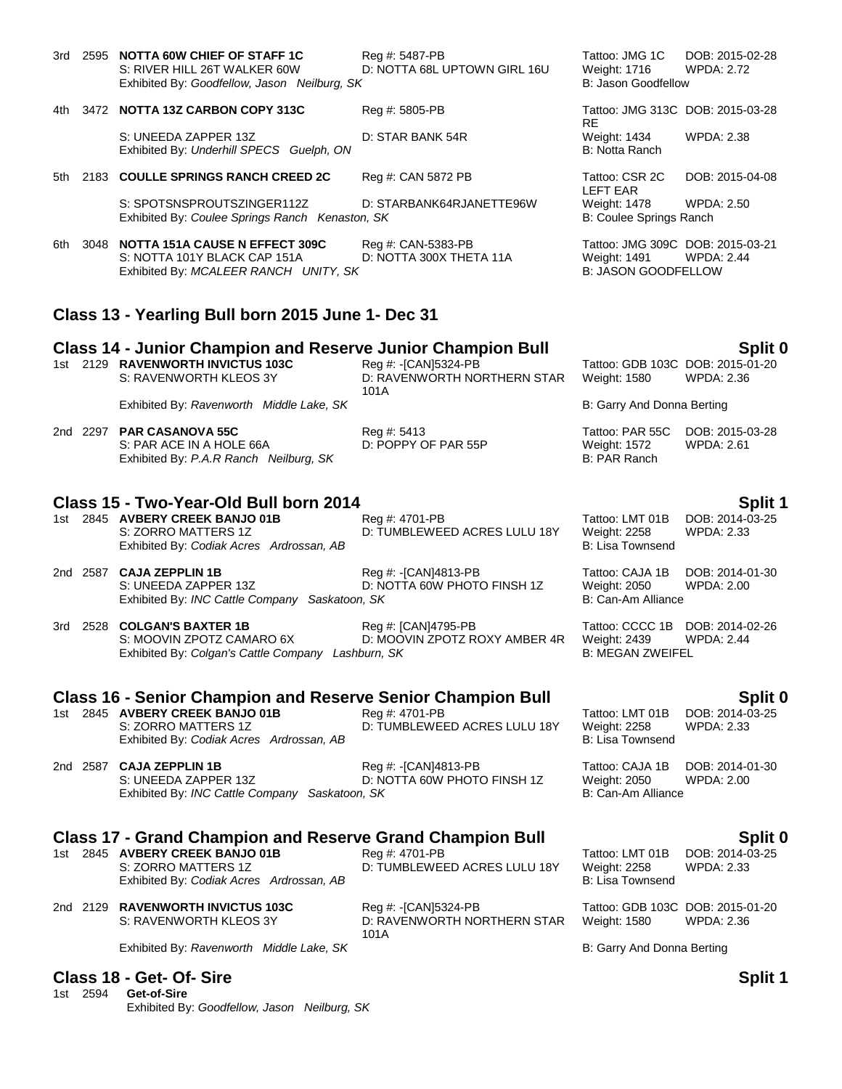|      |          | 3rd 2595 NOTTA 60W CHIEF OF STAFF 1C<br>S: RIVER HILL 26T WALKER 60W<br>Exhibited By: Goodfellow, Jason Neilburg, SK                                                     | Reg #: 5487-PB<br>D: NOTTA 68L UPTOWN GIRL 16U              | Tattoo: JMG 1C<br>Weight: 1716<br>B: Jason Goodfellow                          | DOB: 2015-02-28<br>WPDA: 2.72                  |
|------|----------|--------------------------------------------------------------------------------------------------------------------------------------------------------------------------|-------------------------------------------------------------|--------------------------------------------------------------------------------|------------------------------------------------|
| 4th  |          | 3472 NOTTA 13Z CARBON COPY 313C                                                                                                                                          | Reg #: 5805-PB                                              | Tattoo: JMG 313C DOB: 2015-03-28                                               |                                                |
|      |          | S: UNEEDA ZAPPER 13Z<br>Exhibited By: Underhill SPECS Guelph, ON                                                                                                         | D: STAR BANK 54R                                            | <b>RE</b><br>Weight: 1434<br>B: Notta Ranch                                    | WPDA: 2.38                                     |
| 5th  |          | 2183 COULLE SPRINGS RANCH CREED 2C                                                                                                                                       | Reg #: CAN 5872 PB                                          | Tattoo: CSR 2C<br>LEFT EAR                                                     | DOB: 2015-04-08                                |
|      |          | S: SPOTSNSPROUTSZINGER112Z<br>Exhibited By: Coulee Springs Ranch Kenaston, SK                                                                                            | D: STARBANK64RJANETTE96W                                    | <b>Weight: 1478</b><br>B: Coulee Springs Ranch                                 | <b>WPDA: 2.50</b>                              |
| 6th. | 3048     | <b>NOTTA 151A CAUSE N EFFECT 309C</b><br>S: NOTTA 101Y BLACK CAP 151A<br>Exhibited By: MCALEER RANCH UNITY, SK                                                           | Reg #: CAN-5383-PB<br>D: NOTTA 300X THETA 11A               | Tattoo: JMG 309C DOB: 2015-03-21<br>Weight: 1491<br><b>B: JASON GOODFELLOW</b> | <b>WPDA: 2.44</b>                              |
|      |          | Class 13 - Yearling Bull born 2015 June 1- Dec 31                                                                                                                        |                                                             |                                                                                |                                                |
|      |          | <b>Class 14 - Junior Champion and Reserve Junior Champion Bull</b>                                                                                                       |                                                             |                                                                                | Split 0                                        |
|      |          | 1st 2129 RAVENWORTH INVICTUS 103C<br>S: RAVENWORTH KLEOS 3Y                                                                                                              | Reg #: -[CAN]5324-PB<br>D: RAVENWORTH NORTHERN STAR         | <b>Weight: 1580</b>                                                            | Tattoo: GDB 103C DOB: 2015-01-20<br>WPDA: 2.36 |
|      |          | Exhibited By: Ravenworth Middle Lake, SK                                                                                                                                 | 101A                                                        | B: Garry And Donna Berting                                                     |                                                |
|      |          | 2nd 2297 PAR CASANOVA 55C<br>S: PAR ACE IN A HOLE 66A<br>Exhibited By: P.A.R Ranch Neilburg, SK                                                                          | Reg #: 5413<br>D: POPPY OF PAR 55P                          | Tattoo: PAR 55C<br>Weight: 1572<br>B: PAR Ranch                                | DOB: 2015-03-28<br><b>WPDA: 2.61</b>           |
|      |          | Class 15 - Two-Year-Old Bull born 2014                                                                                                                                   |                                                             |                                                                                | <b>Split 1</b>                                 |
|      |          | 1st 2845 AVBERY CREEK BANJO 01B<br>S: ZORRO MATTERS 1Z<br>Exhibited By: Codiak Acres Ardrossan, AB                                                                       | Reg #: 4701-PB<br>D: TUMBLEWEED ACRES LULU 18Y              | Tattoo: LMT 01B<br>Weight: 2258<br><b>B: Lisa Townsend</b>                     | DOB: 2014-03-25<br><b>WPDA: 2.33</b>           |
|      |          | 2nd 2587 CAJA ZEPPLIN 1B<br>S: UNEEDA ZAPPER 13Z<br>Exhibited By: INC Cattle Company Saskatoon, SK                                                                       | Reg #: -[CAN]4813-PB<br>D: NOTTA 60W PHOTO FINSH 1Z         | Tattoo: CAJA 1B<br>Weight: 2050<br>B: Can-Am Alliance                          | DOB: 2014-01-30<br>WPDA: 2.00                  |
|      | 3rd 2528 | <b>COLGAN'S BAXTER 1B</b><br>S: MOOVIN ZPOTZ CAMARO 6X<br>Exhibited By: Colgan's Cattle Company Lashburn, SK                                                             | Reg #: [CAN]4795-PB<br>D: MOOVIN ZPOTZ ROXY AMBER 4R        | Tattoo: CCCC 1B<br>Weight: 2439<br><b>B: MEGAN ZWEIFEL</b>                     | DOB: 2014-02-26<br><b>WPDA: 2.44</b>           |
|      |          |                                                                                                                                                                          |                                                             |                                                                                |                                                |
|      |          | <b>Class 16 - Senior Champion and Reserve Senior Champion Bull</b><br>1st 2845 AVBERY CREEK BANJO 01B<br>S: ZORRO MATTERS 1Z<br>Exhibited By: Codiak Acres Ardrossan, AB | Reg #: 4701-PB<br>D: TUMBLEWEED ACRES LULU 18Y              | Tattoo: LMT 01B<br><b>Weight: 2258</b><br>B: Lisa Townsend                     | Split 0<br>DOB: 2014-03-25<br>WPDA: 2.33       |
|      |          | 2nd 2587 CAJA ZEPPLIN 1B<br>S: UNEEDA ZAPPER 13Z<br>Exhibited By: INC Cattle Company Saskatoon, SK                                                                       | Reg #: -[CAN]4813-PB<br>D: NOTTA 60W PHOTO FINSH 1Z         | Tattoo: CAJA 1B<br>Weight: 2050<br>B: Can-Am Alliance                          | DOB: 2014-01-30<br>WPDA: 2.00                  |
|      |          | Class 17 - Grand Champion and Reserve Grand Champion Bull                                                                                                                |                                                             |                                                                                |                                                |
|      |          | 1st 2845 AVBERY CREEK BANJO 01B<br>S: ZORRO MATTERS 1Z<br>Exhibited By: Codiak Acres Ardrossan, AB                                                                       | Reg #: 4701-PB<br>D: TUMBLEWEED ACRES LULU 18Y              | Tattoo: LMT 01B<br>Weight: 2258<br>B: Lisa Townsend                            | Split 0<br>DOB: 2014-03-25<br>WPDA: 2.33       |
|      |          | 2nd 2129 RAVENWORTH INVICTUS 103C<br>S: RAVENWORTH KLEOS 3Y                                                                                                              | Reg #: -[CAN]5324-PB<br>D: RAVENWORTH NORTHERN STAR<br>101A | Tattoo: GDB 103C DOB: 2015-01-20<br><b>Weight: 1580</b>                        | <b>WPDA: 2.36</b>                              |

Exhibited By: Ravenworth Middle Lake, SK **Billion** B: Garry And Donna Berting

# **Class 18 - Get- Of- Sire Split 1**

1st 2594 **Get-of-Sire** Exhibited By: *Goodfellow, Jason Neilburg, SK*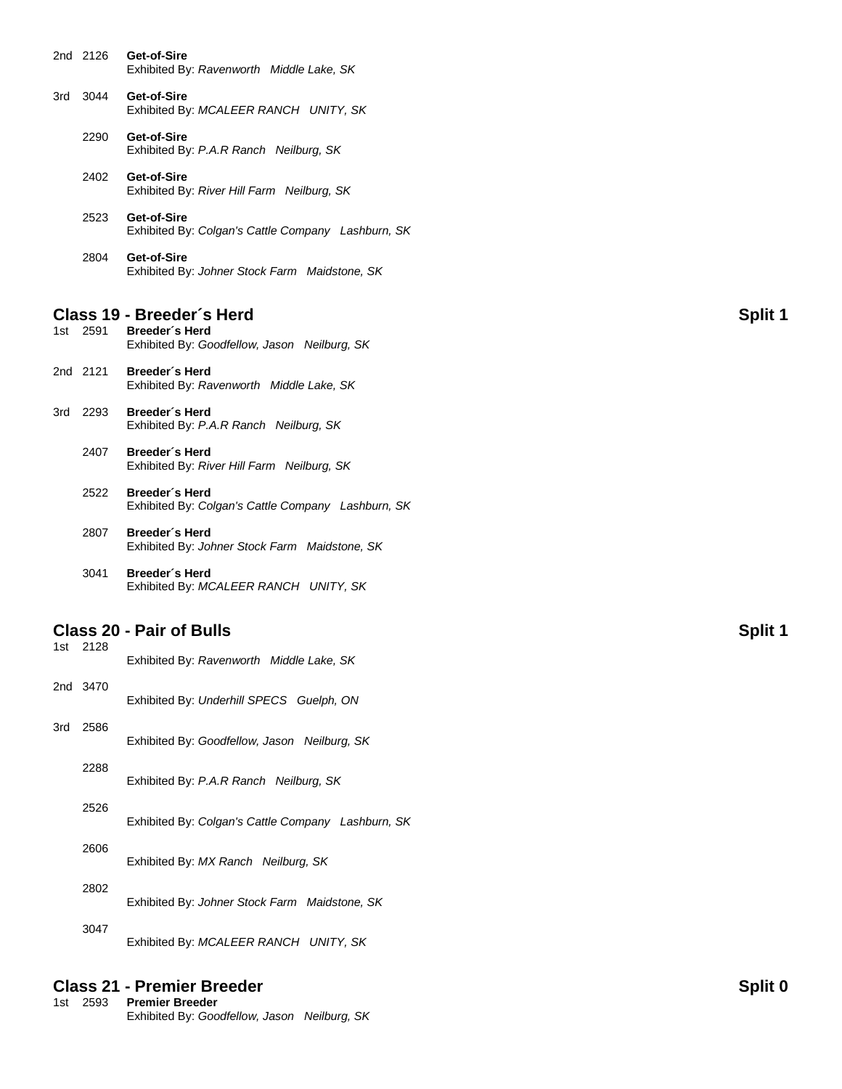| 2nd 2126 | Get-of-Sire                              |  |
|----------|------------------------------------------|--|
|          | Exhibited By: Ravenworth Middle Lake, SK |  |
|          |                                          |  |

- 3rd 3044 **Get-of-Sire** Exhibited By: *MCALEER RANCH UNITY, SK*
	- 2290 **Get-of-Sire** Exhibited By: *P.A.R Ranch Neilburg, SK*

2402 **Get-of-Sire** Exhibited By: *River Hill Farm Neilburg, SK*

- 2523 **Get-of-Sire** Exhibited By: *Colgan's Cattle Company Lashburn, SK*
- 2804 **Get-of-Sire** Exhibited By: *Johner Stock Farm Maidstone, SK*

# **Class 19 - Breeder´s Herd Split 1**

**Breeder**'s Herd Exhibited By: *Goodfellow, Jason Neilburg, SK*

- 2nd 2121 **Breeder´s Herd** Exhibited By: *Ravenworth Middle Lake, SK*
- 3rd 2293 **Breeder´s Herd** Exhibited By: *P.A.R Ranch Neilburg, SK*
	- 2407 **Breeder´s Herd** Exhibited By: *River Hill Farm Neilburg, SK*
	- 2522 **Breeder´s Herd** Exhibited By: *Colgan's Cattle Company Lashburn, SK*
	- 2807 **Breeder´s Herd** Exhibited By: *Johner Stock Farm Maidstone, SK*
	- 3041 **Breeder´s Herd** Exhibited By: *MCALEER RANCH UNITY, SK*

## **Class 20 - Pair of Bulls Split 1**

|     | 1st 2128 | Exhibited By: Ravenworth Middle Lake, SK           |
|-----|----------|----------------------------------------------------|
|     | 2nd 3470 | Exhibited By: Underhill SPECS Guelph, ON           |
| 3rd | 2586     | Exhibited By: Goodfellow, Jason Neilburg, SK       |
|     | 2288     | Exhibited By: P.A.R Ranch Neilburg, SK             |
|     | 2526     | Exhibited By: Colgan's Cattle Company Lashburn, SK |
|     | 2606     | Exhibited By: MX Ranch Neilburg, SK                |
|     | 2802     | Exhibited By: Johner Stock Farm Maidstone, SK      |
|     | 3047     | Exhibited By: MCALEER RANCH UNITY, SK              |

# **Class 21 - Premier Breeder Split 0**

| 1st 2593 | <b>Premier Breeder</b>                       |  |
|----------|----------------------------------------------|--|
|          | Exhibited By: Goodfellow, Jason Neilburg, SK |  |